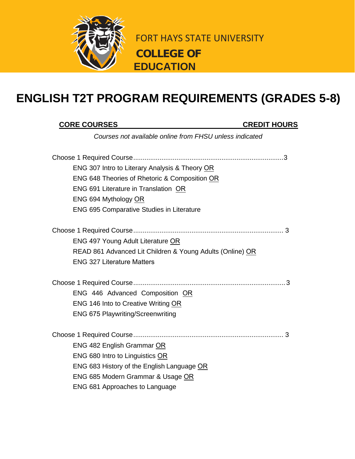

FORT HAYS STATE UNIVERSITY **COLLEGE OF EDUCATION**

## **ENGLISH T2T PROGRAM REQUIREMENTS (GRADES 5-8)**

## **CORE COURSES CREDIT HOURS**

*Courses not available online from FHSU unless indicated*

| ENG 307 Intro to Literary Analysis & Theory OR            |
|-----------------------------------------------------------|
| ENG 648 Theories of Rhetoric & Composition OR             |
| ENG 691 Literature in Translation OR                      |
| ENG 694 Mythology OR                                      |
| <b>ENG 695 Comparative Studies in Literature</b>          |
|                                                           |
| <b>ENG 497 Young Adult Literature OR</b>                  |
| READ 861 Advanced Lit Children & Young Adults (Online) OR |
| <b>ENG 327 Literature Matters</b>                         |
|                                                           |
| ENG 446 Advanced Composition OR                           |
| ENG 146 Into to Creative Writing OR                       |
| <b>ENG 675 Playwriting/Screenwriting</b>                  |
|                                                           |
| ENG 482 English Grammar OR                                |
| ENG 680 Intro to Linguistics OR                           |
| ENG 683 History of the English Language OR                |
|                                                           |
| ENG 685 Modern Grammar & Usage OR                         |